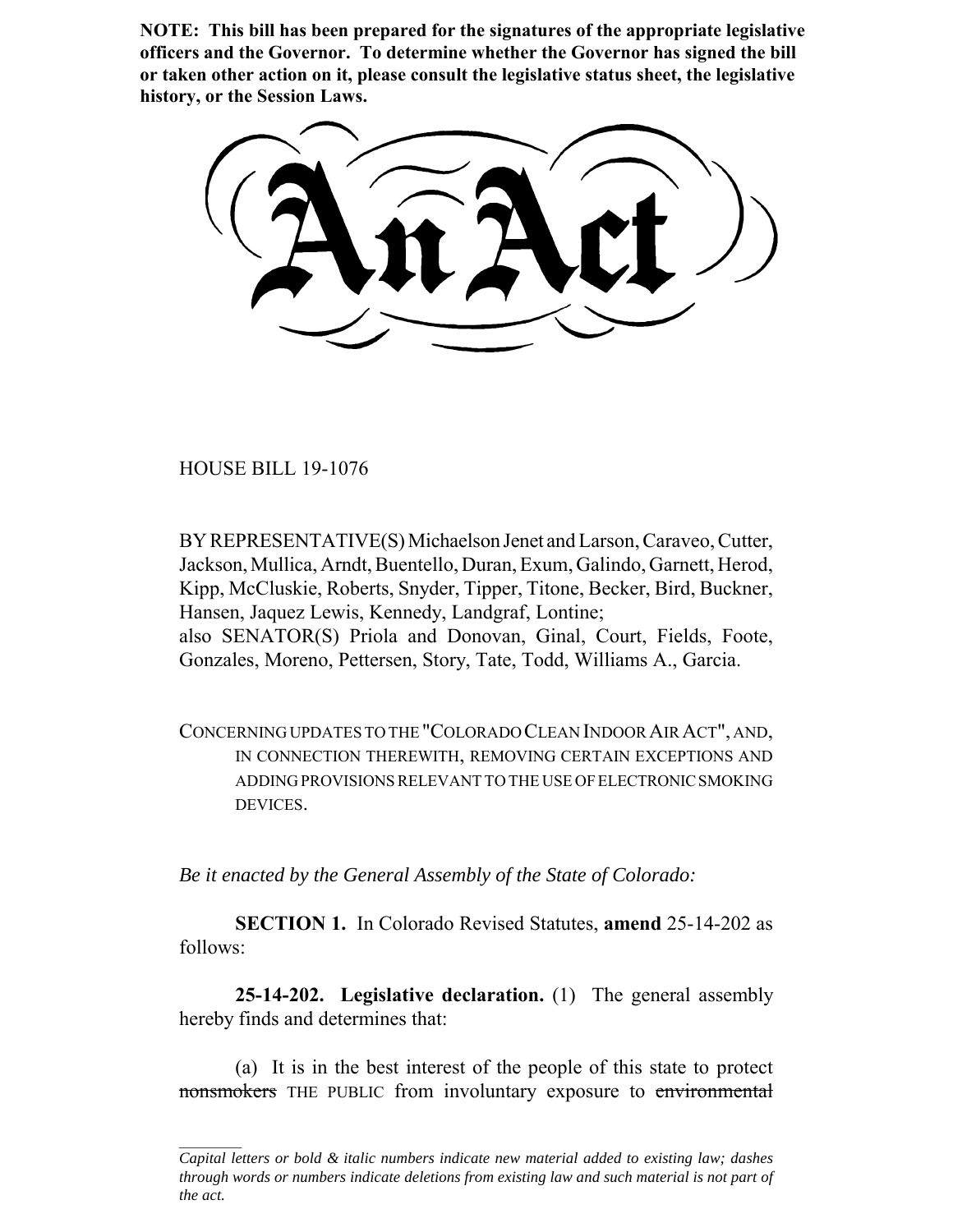**NOTE: This bill has been prepared for the signatures of the appropriate legislative officers and the Governor. To determine whether the Governor has signed the bill or taken other action on it, please consult the legislative status sheet, the legislative history, or the Session Laws.**

HOUSE BILL 19-1076

BY REPRESENTATIVE(S) Michaelson Jenet and Larson, Caraveo, Cutter, Jackson, Mullica, Arndt, Buentello, Duran, Exum, Galindo, Garnett, Herod, Kipp, McCluskie, Roberts, Snyder, Tipper, Titone, Becker, Bird, Buckner, Hansen, Jaquez Lewis, Kennedy, Landgraf, Lontine; also SENATOR(S) Priola and Donovan, Ginal, Court, Fields, Foote, Gonzales, Moreno, Pettersen, Story, Tate, Todd, Williams A., Garcia.

CONCERNING UPDATES TO THE "COLORADO CLEAN INDOOR AIR ACT", AND, IN CONNECTION THEREWITH, REMOVING CERTAIN EXCEPTIONS AND ADDING PROVISIONS RELEVANT TO THE USE OF ELECTRONIC SMOKING DEVICES.

*Be it enacted by the General Assembly of the State of Colorado:*

**SECTION 1.** In Colorado Revised Statutes, **amend** 25-14-202 as follows:

**25-14-202. Legislative declaration.** (1) The general assembly hereby finds and determines that:

(a) It is in the best interest of the people of this state to protect nonsmokers THE PUBLIC from involuntary exposure to environmental

*Capital letters or bold & italic numbers indicate new material added to existing law; dashes through words or numbers indicate deletions from existing law and such material is not part of the act.*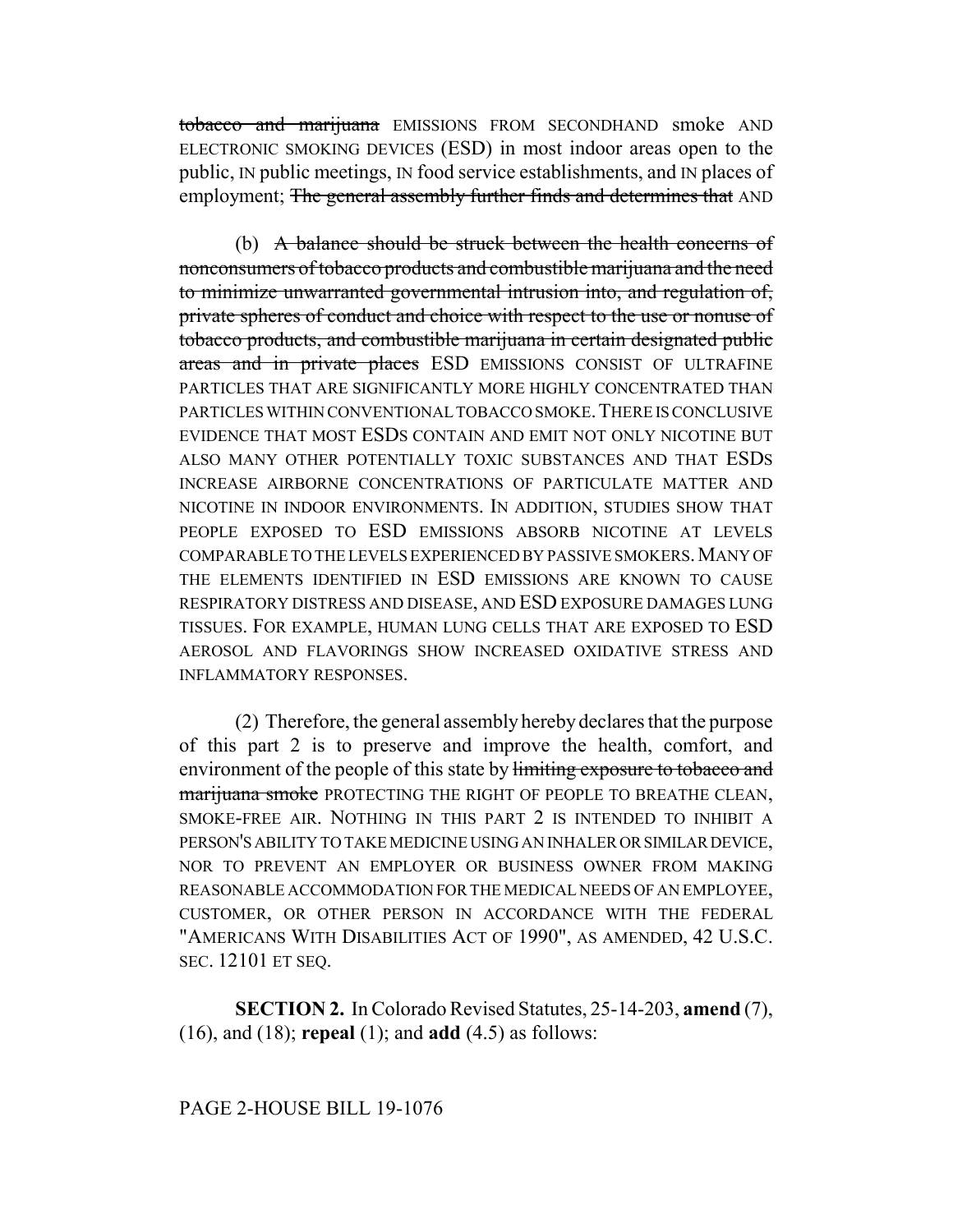tobacco and marijuana EMISSIONS FROM SECONDHAND smoke AND ELECTRONIC SMOKING DEVICES (ESD) in most indoor areas open to the public, IN public meetings, IN food service establishments, and IN places of employment; The general assembly further finds and determines that AND

(b) A balance should be struck between the health concerns of nonconsumers of tobacco products and combustible marijuana and the need to minimize unwarranted governmental intrusion into, and regulation of, private spheres of conduct and choice with respect to the use or nonuse of tobacco products, and combustible marijuana in certain designated public areas and in private places ESD EMISSIONS CONSIST OF ULTRAFINE PARTICLES THAT ARE SIGNIFICANTLY MORE HIGHLY CONCENTRATED THAN PARTICLES WITHIN CONVENTIONAL TOBACCO SMOKE.THERE IS CONCLUSIVE EVIDENCE THAT MOST ESDS CONTAIN AND EMIT NOT ONLY NICOTINE BUT ALSO MANY OTHER POTENTIALLY TOXIC SUBSTANCES AND THAT ESDS INCREASE AIRBORNE CONCENTRATIONS OF PARTICULATE MATTER AND NICOTINE IN INDOOR ENVIRONMENTS. IN ADDITION, STUDIES SHOW THAT PEOPLE EXPOSED TO ESD EMISSIONS ABSORB NICOTINE AT LEVELS COMPARABLE TO THE LEVELS EXPERIENCED BY PASSIVE SMOKERS. MANY OF THE ELEMENTS IDENTIFIED IN ESD EMISSIONS ARE KNOWN TO CAUSE RESPIRATORY DISTRESS AND DISEASE, AND ESD EXPOSURE DAMAGES LUNG TISSUES. FOR EXAMPLE, HUMAN LUNG CELLS THAT ARE EXPOSED TO ESD AEROSOL AND FLAVORINGS SHOW INCREASED OXIDATIVE STRESS AND INFLAMMATORY RESPONSES.

(2) Therefore, the general assembly hereby declares that the purpose of this part 2 is to preserve and improve the health, comfort, and environment of the people of this state by limiting exposure to tobacco and marijuana smoke PROTECTING THE RIGHT OF PEOPLE TO BREATHE CLEAN, SMOKE-FREE AIR. NOTHING IN THIS PART 2 IS INTENDED TO INHIBIT A PERSON'S ABILITY TO TAKE MEDICINE USING AN INHALER OR SIMILAR DEVICE, NOR TO PREVENT AN EMPLOYER OR BUSINESS OWNER FROM MAKING REASONABLE ACCOMMODATION FOR THE MEDICAL NEEDS OF AN EMPLOYEE, CUSTOMER, OR OTHER PERSON IN ACCORDANCE WITH THE FEDERAL "AMERICANS WITH DISABILITIES ACT OF 1990", AS AMENDED, 42 U.S.C. SEC. 12101 ET SEQ.

**SECTION 2.** In Colorado Revised Statutes, 25-14-203, **amend** (7), (16), and (18); **repeal** (1); and **add** (4.5) as follows: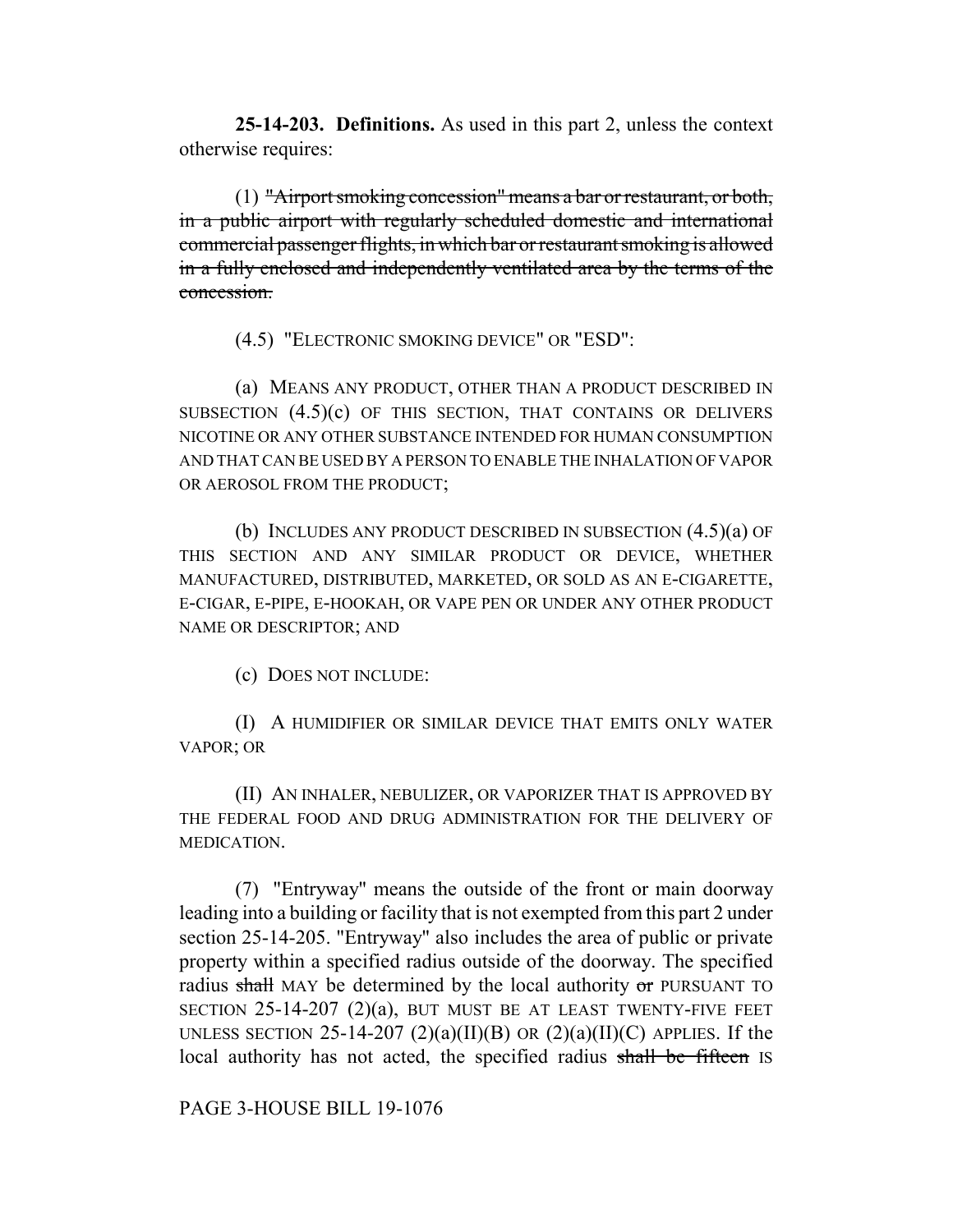**25-14-203. Definitions.** As used in this part 2, unless the context otherwise requires:

(1) "Airport smoking concession" means a bar or restaurant, or both, in a public airport with regularly scheduled domestic and international commercial passenger flights, in which bar or restaurant smoking is allowed in a fully enclosed and independently ventilated area by the terms of the concession.

(4.5) "ELECTRONIC SMOKING DEVICE" OR "ESD":

(a) MEANS ANY PRODUCT, OTHER THAN A PRODUCT DESCRIBED IN SUBSECTION (4.5)(c) OF THIS SECTION, THAT CONTAINS OR DELIVERS NICOTINE OR ANY OTHER SUBSTANCE INTENDED FOR HUMAN CONSUMPTION AND THAT CAN BE USED BY A PERSON TO ENABLE THE INHALATION OF VAPOR OR AEROSOL FROM THE PRODUCT;

(b) INCLUDES ANY PRODUCT DESCRIBED IN SUBSECTION (4.5)(a) OF THIS SECTION AND ANY SIMILAR PRODUCT OR DEVICE, WHETHER MANUFACTURED, DISTRIBUTED, MARKETED, OR SOLD AS AN E-CIGARETTE, E-CIGAR, E-PIPE, E-HOOKAH, OR VAPE PEN OR UNDER ANY OTHER PRODUCT NAME OR DESCRIPTOR; AND

(c) DOES NOT INCLUDE:

(I) A HUMIDIFIER OR SIMILAR DEVICE THAT EMITS ONLY WATER VAPOR; OR

(II) AN INHALER, NEBULIZER, OR VAPORIZER THAT IS APPROVED BY THE FEDERAL FOOD AND DRUG ADMINISTRATION FOR THE DELIVERY OF MEDICATION.

(7) "Entryway" means the outside of the front or main doorway leading into a building or facility that is not exempted from this part 2 under section 25-14-205. "Entryway" also includes the area of public or private property within a specified radius outside of the doorway. The specified radius shall MAY be determined by the local authority  $\sigma$ r PURSUANT TO SECTION  $25-14-207$   $(2)(a)$ , BUT MUST BE AT LEAST TWENTY-FIVE FEET UNLESS SECTION 25-14-207 (2)(a)(II)(B) OR (2)(a)(II)(C) APPLIES. If the local authority has not acted, the specified radius shall be fifteen IS

PAGE 3-HOUSE BILL 19-1076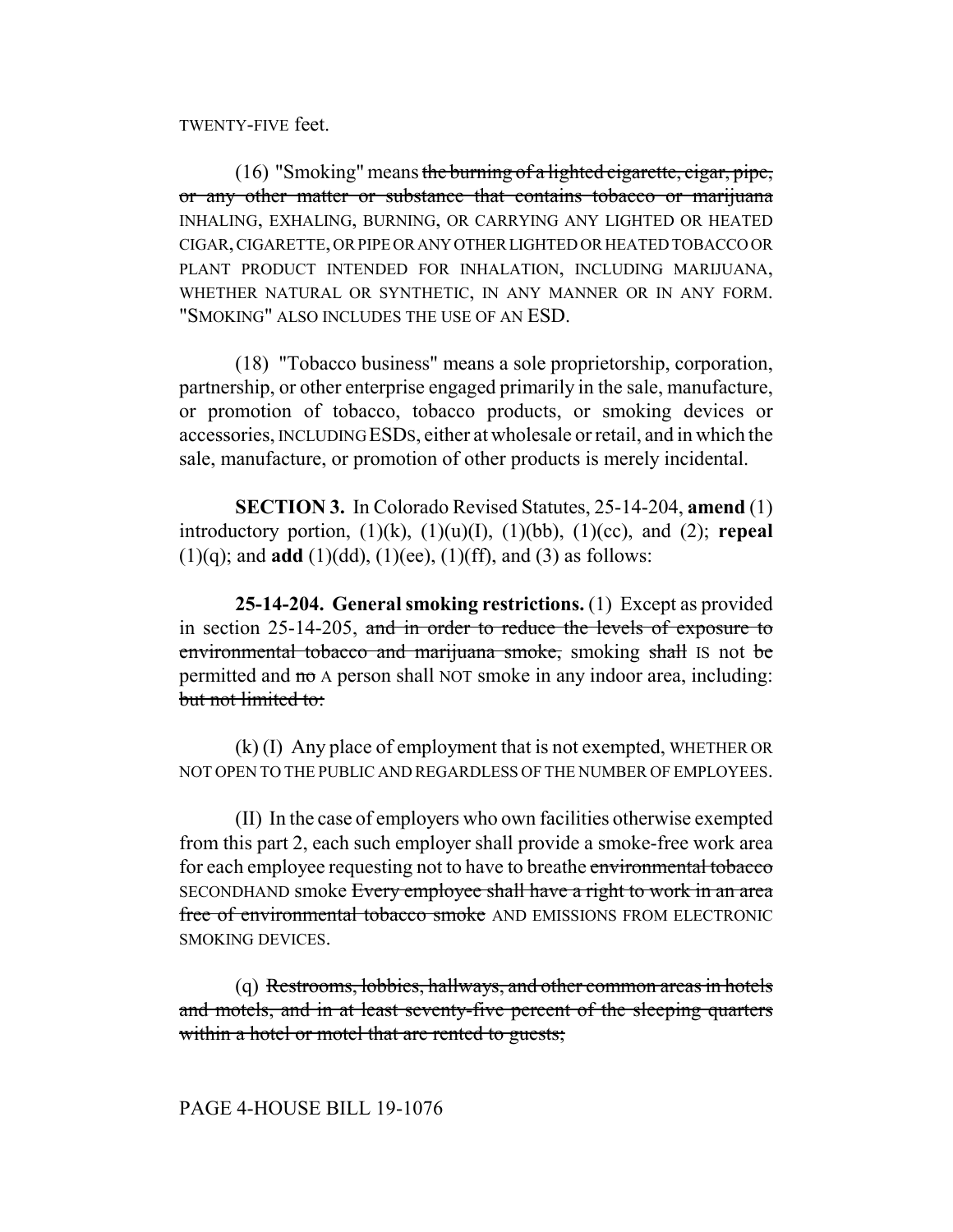TWENTY-FIVE feet.

 $(16)$  "Smoking" means the burning of a lighted cigarette, cigar, pipe, or any other matter or substance that contains tobacco or marijuana INHALING, EXHALING, BURNING, OR CARRYING ANY LIGHTED OR HEATED CIGAR, CIGARETTE, OR PIPE OR ANY OTHER LIGHTED OR HEATED TOBACCO OR PLANT PRODUCT INTENDED FOR INHALATION, INCLUDING MARIJUANA, WHETHER NATURAL OR SYNTHETIC, IN ANY MANNER OR IN ANY FORM. "SMOKING" ALSO INCLUDES THE USE OF AN ESD.

(18) "Tobacco business" means a sole proprietorship, corporation, partnership, or other enterprise engaged primarily in the sale, manufacture, or promotion of tobacco, tobacco products, or smoking devices or accessories, INCLUDING ESDS, either at wholesale or retail, and in which the sale, manufacture, or promotion of other products is merely incidental.

**SECTION 3.** In Colorado Revised Statutes, 25-14-204, **amend** (1) introductory portion,  $(1)(k)$ ,  $(1)(u)(I)$ ,  $(1)(bb)$ ,  $(1)(cc)$ , and  $(2)$ ; **repeal**  $(1)(q)$ ; and **add**  $(1)(dd)$ ,  $(1)(ee)$ ,  $(1)(ff)$ , and  $(3)$  as follows:

**25-14-204. General smoking restrictions.** (1) Except as provided in section 25-14-205, and in order to reduce the levels of exposure to environmental tobacco and marijuana smoke, smoking shall IS not be permitted and no A person shall NOT smoke in any indoor area, including: but not limited to:

(k) (I) Any place of employment that is not exempted, WHETHER OR NOT OPEN TO THE PUBLIC AND REGARDLESS OF THE NUMBER OF EMPLOYEES.

(II) In the case of employers who own facilities otherwise exempted from this part 2, each such employer shall provide a smoke-free work area for each employee requesting not to have to breathe environmental tobacco SECONDHAND smoke Every employee shall have a right to work in an area free of environmental tobacco smoke AND EMISSIONS FROM ELECTRONIC SMOKING DEVICES.

(q) Restrooms, lobbies, hallways, and other common areas in hotels and motels, and in at least seventy-five percent of the sleeping quarters within a hotel or motel that are rented to guests;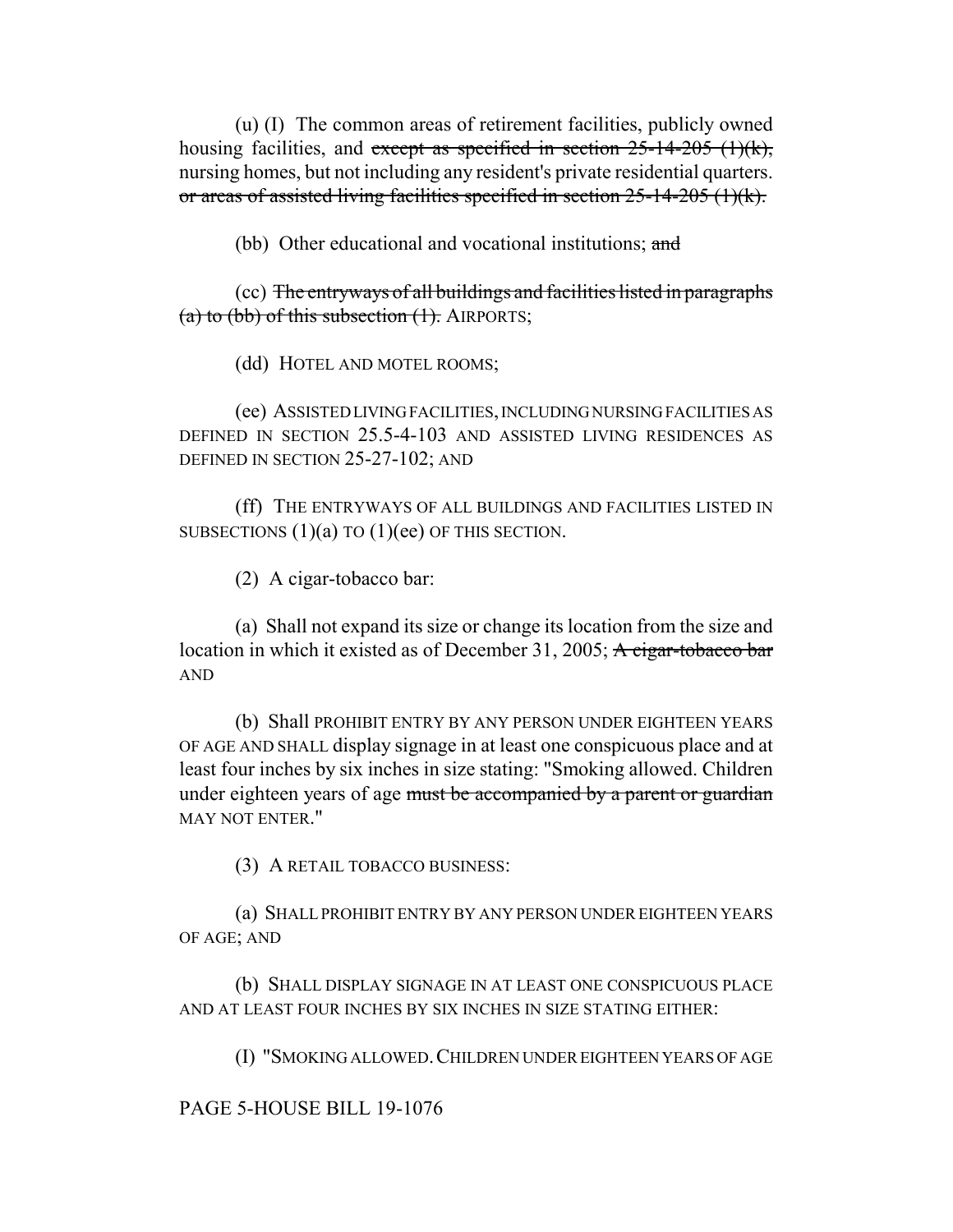(u) (I) The common areas of retirement facilities, publicly owned housing facilities, and except as specified in section  $25$ -14-205 (1)(k), nursing homes, but not including any resident's private residential quarters. or areas of assisted living facilities specified in section 25-14-205 (1)(k).

(bb) Other educational and vocational institutions; and

(cc) The entryways of all buildings and facilities listed in paragraphs (a) to (bb) of this subsection  $(1)$ . AIRPORTS;

(dd) HOTEL AND MOTEL ROOMS;

(ee) ASSISTED LIVING FACILITIES, INCLUDING NURSING FACILITIES AS DEFINED IN SECTION 25.5-4-103 AND ASSISTED LIVING RESIDENCES AS DEFINED IN SECTION 25-27-102; AND

(ff) THE ENTRYWAYS OF ALL BUILDINGS AND FACILITIES LISTED IN SUBSECTIONS  $(1)(a)$  TO  $(1)(ee)$  OF THIS SECTION.

(2) A cigar-tobacco bar:

(a) Shall not expand its size or change its location from the size and location in which it existed as of December 31, 2005; A cigar-tobacco bar AND

(b) Shall PROHIBIT ENTRY BY ANY PERSON UNDER EIGHTEEN YEARS OF AGE AND SHALL display signage in at least one conspicuous place and at least four inches by six inches in size stating: "Smoking allowed. Children under eighteen years of age must be accompanied by a parent or guardian MAY NOT ENTER<sup>"</sup>

(3) A RETAIL TOBACCO BUSINESS:

(a) SHALL PROHIBIT ENTRY BY ANY PERSON UNDER EIGHTEEN YEARS OF AGE; AND

(b) SHALL DISPLAY SIGNAGE IN AT LEAST ONE CONSPICUOUS PLACE AND AT LEAST FOUR INCHES BY SIX INCHES IN SIZE STATING EITHER:

(I) "SMOKING ALLOWED.CHILDREN UNDER EIGHTEEN YEARS OF AGE

PAGE 5-HOUSE BILL 19-1076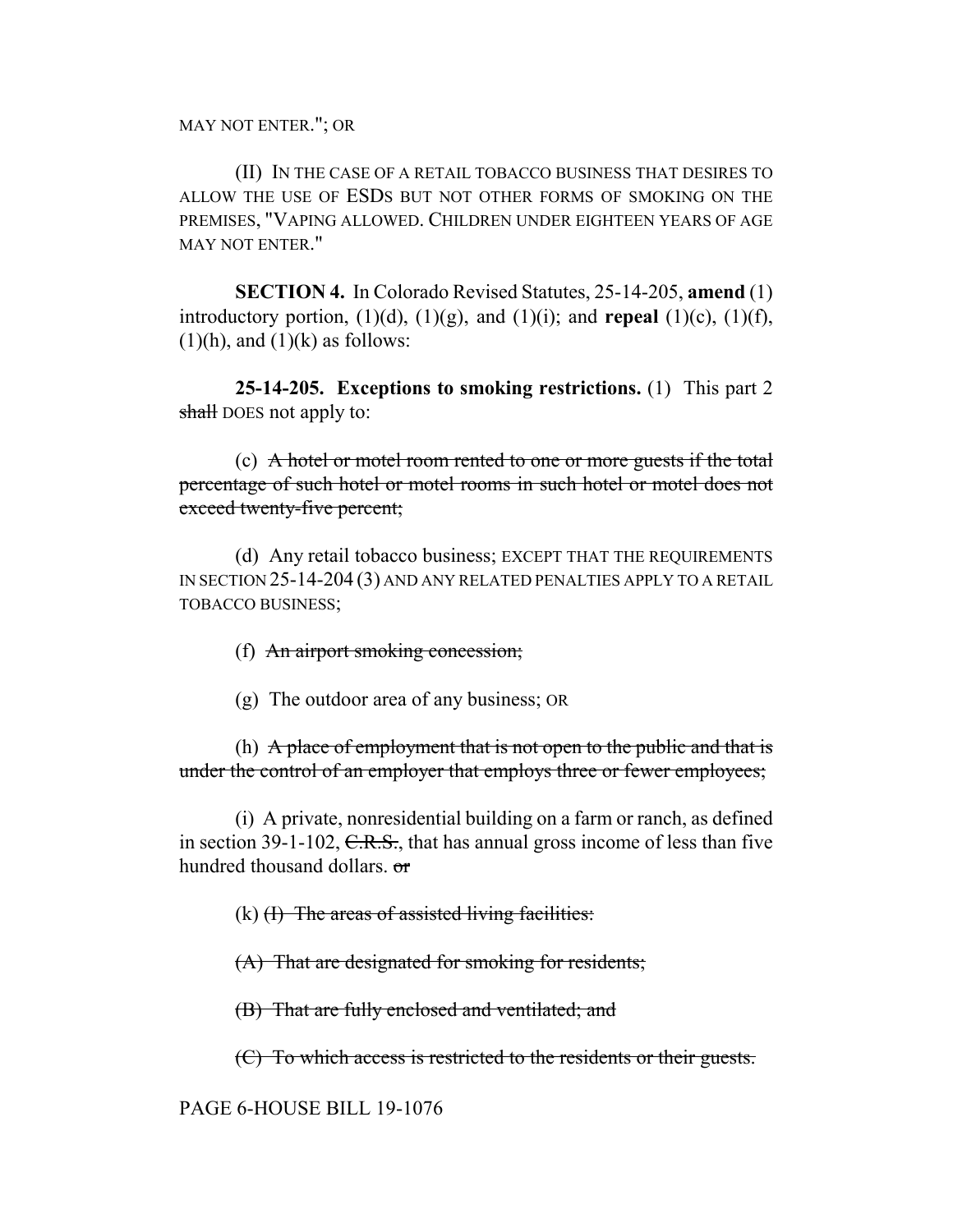MAY NOT ENTER."; OR

(II) IN THE CASE OF A RETAIL TOBACCO BUSINESS THAT DESIRES TO ALLOW THE USE OF ESDS BUT NOT OTHER FORMS OF SMOKING ON THE PREMISES, "VAPING ALLOWED. CHILDREN UNDER EIGHTEEN YEARS OF AGE MAY NOT ENTER."

**SECTION 4.** In Colorado Revised Statutes, 25-14-205, **amend** (1) introductory portion,  $(1)(d)$ ,  $(1)(g)$ , and  $(1)(i)$ ; and **repeal**  $(1)(c)$ ,  $(1)(f)$ ,  $(1)(h)$ , and  $(1)(k)$  as follows:

**25-14-205. Exceptions to smoking restrictions.** (1) This part 2 shall DOES not apply to:

(c) A hotel or motel room rented to one or more guests if the total percentage of such hotel or motel rooms in such hotel or motel does not exceed twenty-five percent;

(d) Any retail tobacco business; EXCEPT THAT THE REQUIREMENTS IN SECTION 25-14-204 (3) AND ANY RELATED PENALTIES APPLY TO A RETAIL TOBACCO BUSINESS;

## (f) An airport smoking concession;

(g) The outdoor area of any business; OR

(h) A place of employment that is not open to the public and that is under the control of an employer that employs three or fewer employees;

(i) A private, nonresidential building on a farm or ranch, as defined in section 39-1-102,  $C.R.S.$ , that has annual gross income of less than five hundred thousand dollars. or

 $(k)$  (I) The areas of assisted living facilities:

(A) That are designated for smoking for residents;

(B) That are fully enclosed and ventilated; and

(C) To which access is restricted to the residents or their guests.

PAGE 6-HOUSE BILL 19-1076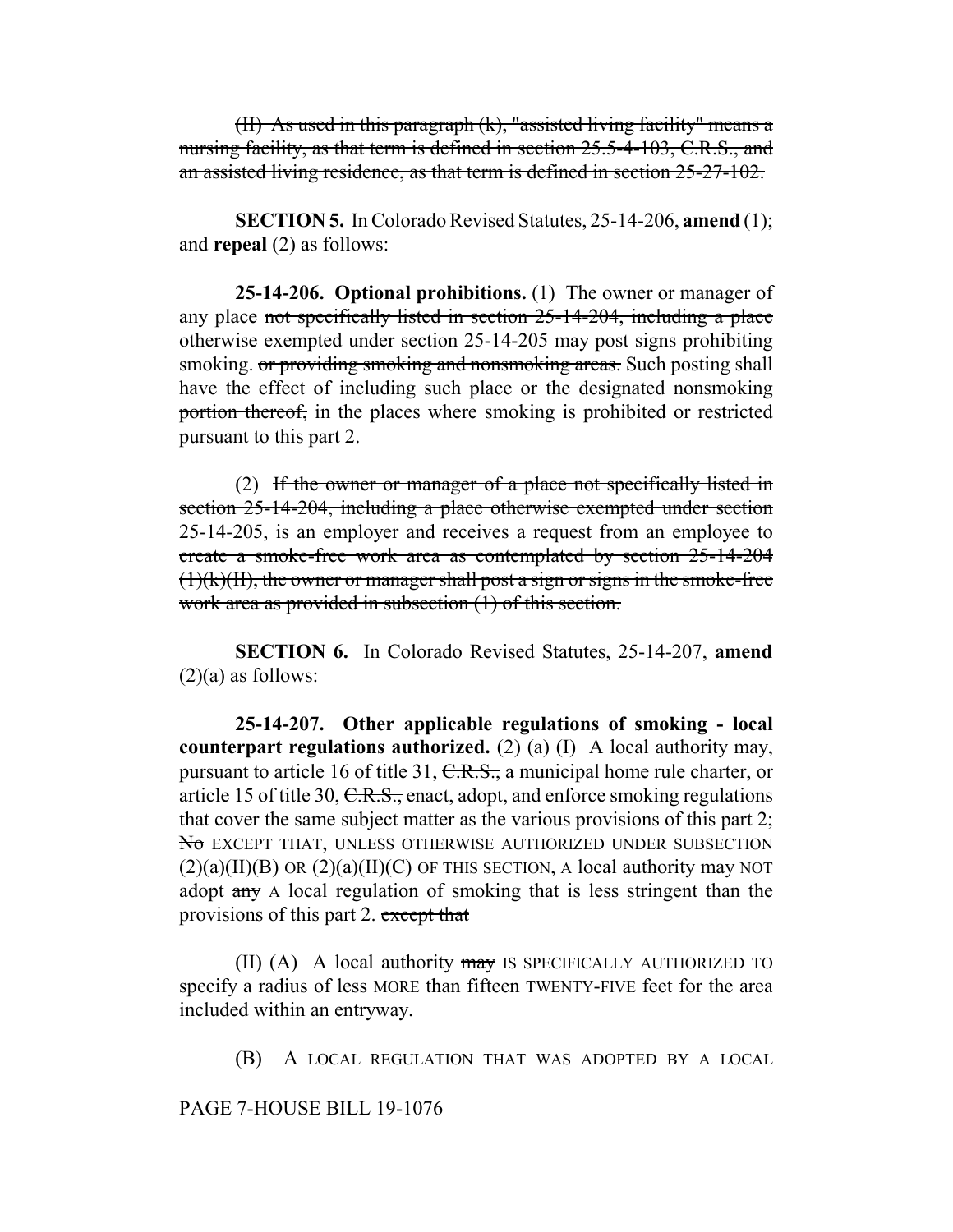(II) As used in this paragraph (k), "assisted living facility" means a nursing facility, as that term is defined in section 25.5-4-103, C.R.S., and an assisted living residence, as that term is defined in section 25-27-102.

**SECTION 5.** In Colorado Revised Statutes, 25-14-206, **amend** (1); and **repeal** (2) as follows:

**25-14-206. Optional prohibitions.** (1) The owner or manager of any place not specifically listed in section 25-14-204, including a place otherwise exempted under section 25-14-205 may post signs prohibiting smoking. or providing smoking and nonsmoking areas. Such posting shall have the effect of including such place or the designated nonsmoking portion thereof, in the places where smoking is prohibited or restricted pursuant to this part 2.

(2) If the owner or manager of a place not specifically listed in section 25-14-204, including a place otherwise exempted under section 25-14-205, is an employer and receives a request from an employee to create a smoke-free work area as contemplated by section 25-14-204  $(1)(k)(II)$ , the owner or manager shall post a sign or signs in the smoke-free work area as provided in subsection (1) of this section.

**SECTION 6.** In Colorado Revised Statutes, 25-14-207, **amend**  $(2)(a)$  as follows:

**25-14-207. Other applicable regulations of smoking - local counterpart regulations authorized.** (2) (a) (I) A local authority may, pursuant to article 16 of title 31, C.R.S., a municipal home rule charter, or article 15 of title 30,  $C.R.S.,$  enact, adopt, and enforce smoking regulations that cover the same subject matter as the various provisions of this part 2; No EXCEPT THAT, UNLESS OTHERWISE AUTHORIZED UNDER SUBSECTION  $(2)(a)(II)(B)$  OR  $(2)(a)(II)(C)$  OF THIS SECTION, A local authority may NOT adopt any A local regulation of smoking that is less stringent than the provisions of this part 2. except that

(II) (A) A local authority  $\frac{m}{w}$  is specifically authorized to specify a radius of less MORE than fifteen TWENTY-FIVE feet for the area included within an entryway.

(B) A LOCAL REGULATION THAT WAS ADOPTED BY A LOCAL

PAGE 7-HOUSE BILL 19-1076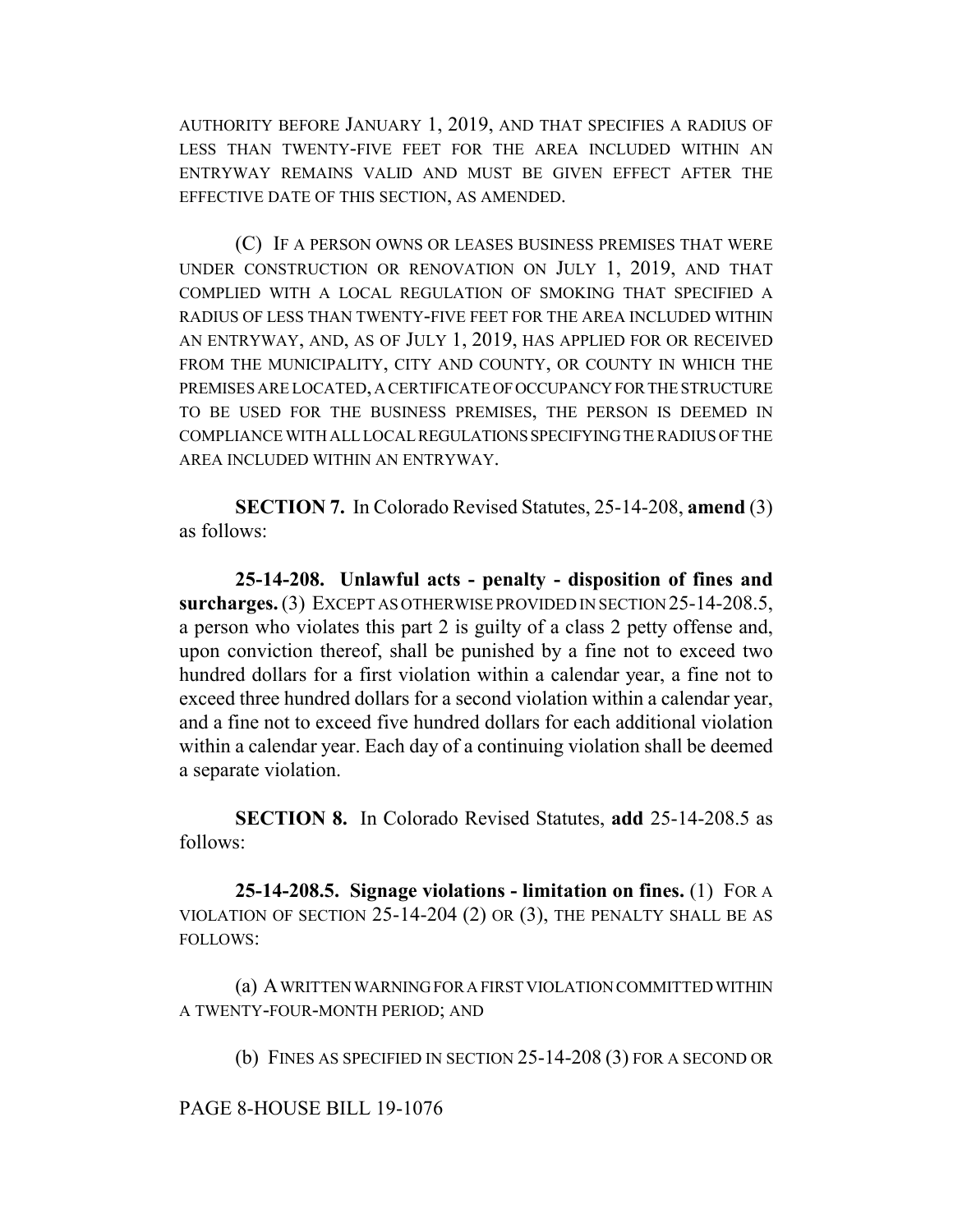AUTHORITY BEFORE JANUARY 1, 2019, AND THAT SPECIFIES A RADIUS OF LESS THAN TWENTY-FIVE FEET FOR THE AREA INCLUDED WITHIN AN ENTRYWAY REMAINS VALID AND MUST BE GIVEN EFFECT AFTER THE EFFECTIVE DATE OF THIS SECTION, AS AMENDED.

(C) IF A PERSON OWNS OR LEASES BUSINESS PREMISES THAT WERE UNDER CONSTRUCTION OR RENOVATION ON JULY 1, 2019, AND THAT COMPLIED WITH A LOCAL REGULATION OF SMOKING THAT SPECIFIED A RADIUS OF LESS THAN TWENTY-FIVE FEET FOR THE AREA INCLUDED WITHIN AN ENTRYWAY, AND, AS OF JULY 1, 2019, HAS APPLIED FOR OR RECEIVED FROM THE MUNICIPALITY, CITY AND COUNTY, OR COUNTY IN WHICH THE PREMISES ARE LOCATED, A CERTIFICATE OF OCCUPANCY FOR THE STRUCTURE TO BE USED FOR THE BUSINESS PREMISES, THE PERSON IS DEEMED IN COMPLIANCE WITH ALL LOCAL REGULATIONS SPECIFYING THE RADIUS OF THE AREA INCLUDED WITHIN AN ENTRYWAY.

**SECTION 7.** In Colorado Revised Statutes, 25-14-208, **amend** (3) as follows:

**25-14-208. Unlawful acts - penalty - disposition of fines and surcharges.** (3) EXCEPT AS OTHERWISE PROVIDED IN SECTION 25-14-208.5, a person who violates this part 2 is guilty of a class 2 petty offense and, upon conviction thereof, shall be punished by a fine not to exceed two hundred dollars for a first violation within a calendar year, a fine not to exceed three hundred dollars for a second violation within a calendar year, and a fine not to exceed five hundred dollars for each additional violation within a calendar year. Each day of a continuing violation shall be deemed a separate violation.

**SECTION 8.** In Colorado Revised Statutes, **add** 25-14-208.5 as follows:

**25-14-208.5. Signage violations - limitation on fines.** (1) FOR A VIOLATION OF SECTION 25-14-204 (2) OR (3), THE PENALTY SHALL BE AS FOLLOWS:

(a) A WRITTEN WARNING FOR A FIRST VIOLATION COMMITTED WITHIN A TWENTY-FOUR-MONTH PERIOD; AND

(b) FINES AS SPECIFIED IN SECTION 25-14-208 (3) FOR A SECOND OR

PAGE 8-HOUSE BILL 19-1076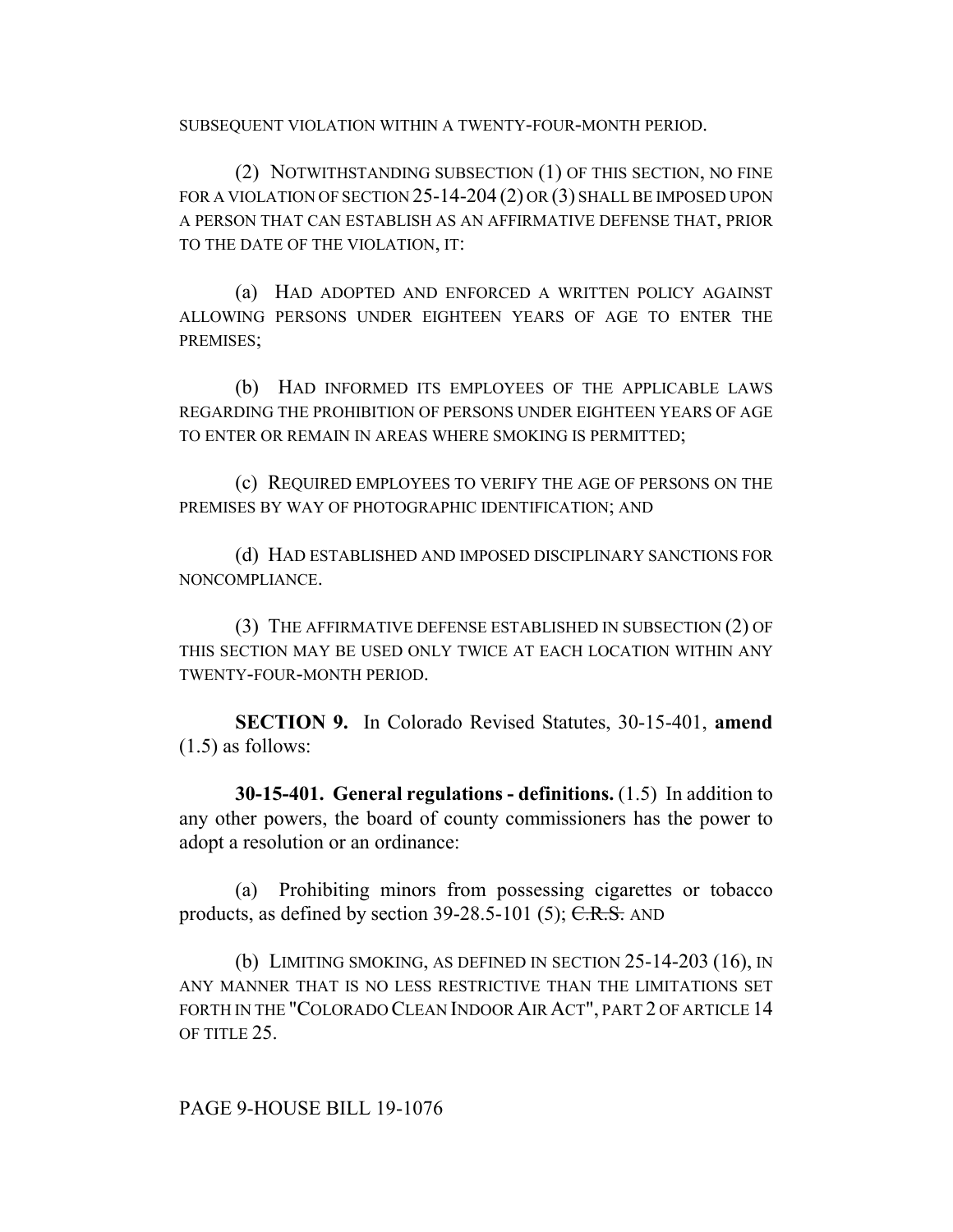SUBSEQUENT VIOLATION WITHIN A TWENTY-FOUR-MONTH PERIOD.

(2) NOTWITHSTANDING SUBSECTION (1) OF THIS SECTION, NO FINE FOR A VIOLATION OF SECTION 25-14-204 (2) OR (3) SHALL BE IMPOSED UPON A PERSON THAT CAN ESTABLISH AS AN AFFIRMATIVE DEFENSE THAT, PRIOR TO THE DATE OF THE VIOLATION, IT:

(a) HAD ADOPTED AND ENFORCED A WRITTEN POLICY AGAINST ALLOWING PERSONS UNDER EIGHTEEN YEARS OF AGE TO ENTER THE PREMISES;

(b) HAD INFORMED ITS EMPLOYEES OF THE APPLICABLE LAWS REGARDING THE PROHIBITION OF PERSONS UNDER EIGHTEEN YEARS OF AGE TO ENTER OR REMAIN IN AREAS WHERE SMOKING IS PERMITTED;

(c) REQUIRED EMPLOYEES TO VERIFY THE AGE OF PERSONS ON THE PREMISES BY WAY OF PHOTOGRAPHIC IDENTIFICATION; AND

(d) HAD ESTABLISHED AND IMPOSED DISCIPLINARY SANCTIONS FOR NONCOMPLIANCE.

(3) THE AFFIRMATIVE DEFENSE ESTABLISHED IN SUBSECTION (2) OF THIS SECTION MAY BE USED ONLY TWICE AT EACH LOCATION WITHIN ANY TWENTY-FOUR-MONTH PERIOD.

**SECTION 9.** In Colorado Revised Statutes, 30-15-401, **amend** (1.5) as follows:

**30-15-401. General regulations - definitions.** (1.5) In addition to any other powers, the board of county commissioners has the power to adopt a resolution or an ordinance:

(a) Prohibiting minors from possessing cigarettes or tobacco products, as defined by section  $39-28.5-101$  (5); C.R.S. AND

(b) LIMITING SMOKING, AS DEFINED IN SECTION 25-14-203 (16), IN ANY MANNER THAT IS NO LESS RESTRICTIVE THAN THE LIMITATIONS SET FORTH IN THE "COLORADO CLEAN INDOOR AIR ACT", PART 2 OF ARTICLE 14 OF TITLE 25.